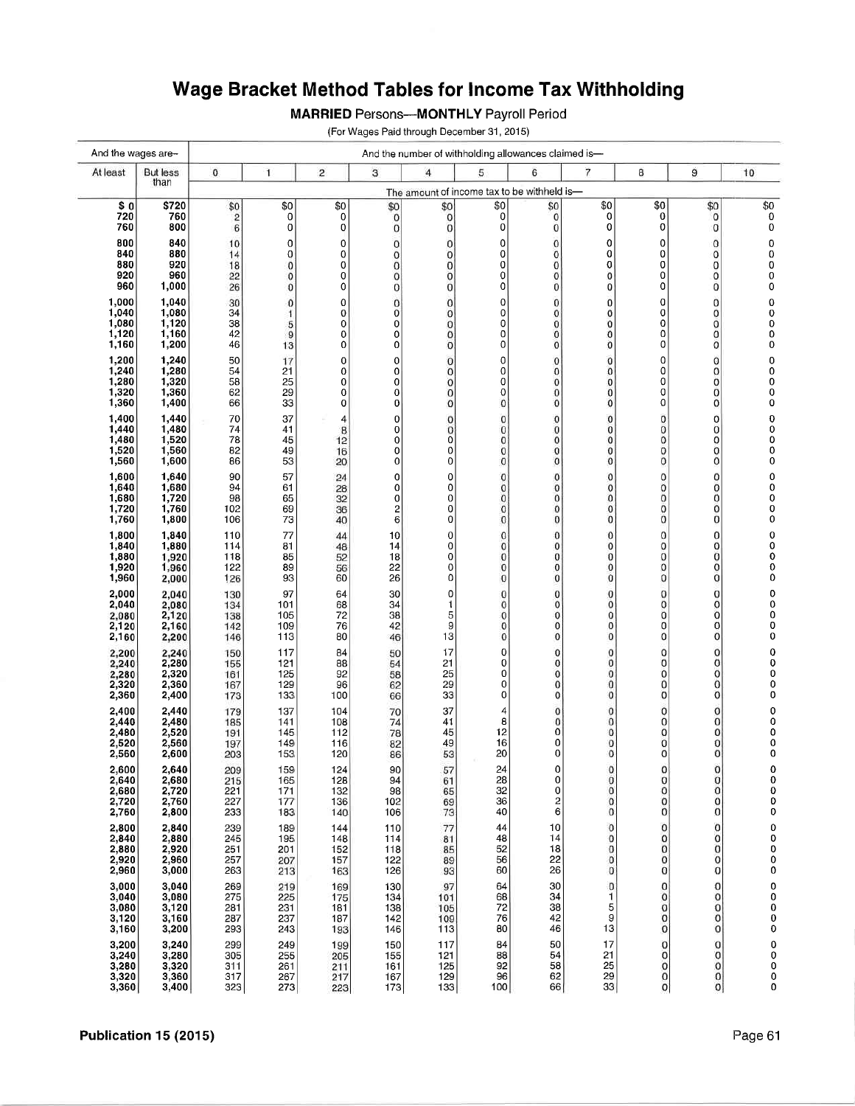## Wage Bracket Method Tables for Income Tax Withholding

**MARRIED Persons--- MONTHLY Payroll Period** 

(For Wages Paid through December 31, 2015)

| And the wages are- |                         | And the number of withholding allowances claimed is- |                                             |                |                              |                            |             |                      |                  |                            |                            |                                             |
|--------------------|-------------------------|------------------------------------------------------|---------------------------------------------|----------------|------------------------------|----------------------------|-------------|----------------------|------------------|----------------------------|----------------------------|---------------------------------------------|
| At least           | <b>But less</b><br>than | $\bf{0}$                                             | 1                                           | $\overline{c}$ | 3                            | $\overline{4}$             | 5           | 6                    | 7                | 8                          | 9                          | 10                                          |
|                    |                         |                                                      | The amount of income tax to be withheld is- |                |                              |                            |             |                      |                  |                            |                            |                                             |
| \$ 0<br>720        | \$720<br>760            | \$0<br>$\overline{\mathbf{c}}$                       | \$0<br>0                                    | \$0<br>0       | \$0<br>0                     | \$0<br>0                   | \$0<br> 0   | \$0<br>0             | \$0<br>0         | \$0<br>0                   | \$0<br>0                   | \$0<br>0                                    |
| 760                | 800                     | 6                                                    | 0                                           | 0              | 0                            | 0                          | 0           | 0                    | 0                | 0                          | 0                          | $\pmb{0}$                                   |
| 800<br>840         | 840<br>880              | 10<br>14                                             | 0<br>0                                      | 0<br>0         | 0<br>0                       | $\bf{0}$<br>0              | 0<br>0      | 0<br>0               | 0<br>0           | 0<br>0                     | 0<br>0                     | 0<br>0                                      |
| 880                | 920                     | 18                                                   | 0                                           | 0              | $\overline{0}$               | $\mathbf 0$                | 0           | 0                    | 0                | 0                          | 0                          | $_0^0$                                      |
| 920<br>960         | 960<br>1,000            | 22<br>26                                             | 0<br>$\mathbf{0}$                           | 0<br>0         | $\bf{0}$<br>0                | 0<br>0                     | 0<br>0      | 0<br>0               | $\mathbf 0$<br>0 | 0<br>0                     | 0<br>0                     | 0                                           |
| 1,000              | 1,040                   | 30                                                   | 0                                           | 0              | 0                            | 0                          | 0           | 0                    | 0                | 0                          | 0                          | 0                                           |
| 1,040              | 1,080                   | 34                                                   | $\mathbf{1}$                                | 0              | $\mathbf 0$                  | $\bf{0}$                   | 0           | 0                    | 0                | 0                          | 0                          |                                             |
| 1,080<br>1,120     | 1,120<br>1,160          | 38<br>42                                             | 5<br>$\overline{9}$                         | 0<br>0         | 0<br>0                       | $\mathbf 0$<br>$\mathbf 0$ | 0<br>0      | 0<br>0               | 0<br>o           | 0<br>0                     | 0<br>0                     | $\begin{smallmatrix}0\0\0\end{smallmatrix}$ |
| 1,160              | 1,200                   | 46                                                   | 13                                          | 0              | 0                            | $\mathbf 0$                | 0           | $\mathbf 0$          | O                | 0                          | 0                          | 0                                           |
| 1,200<br>1,240     | 1,240<br>1,280          | 50<br>54                                             | 17<br>21                                    | 0<br>0         | 0<br>0                       | $\bf{0}$<br>$\bf{0}$       | 0<br>0      | $\bf{0}$<br>0        | 0<br>0           | 0<br>0                     | 0<br>0                     | 0<br>0                                      |
| 1,280              | 1,320                   | 58                                                   | 25                                          | 0              | $\overline{0}$               | $\overline{0}$             | 0           | 0                    | 0                | $\overline{0}$             | 0                          | 0                                           |
| 1,320<br>1,360     | 1,360<br>1,400          | 62<br>66                                             | 29<br>33                                    | 0<br>0         | 0<br>0                       | $\bf{0}$<br>0              | 0<br>0      | $\mathbf 0$<br>0     | 0<br>0           | $\overline{0}$<br>0        | 0<br>0                     | 0<br>0                                      |
| 1,400              | 1,440                   | 70                                                   | 37                                          | 4              | 0                            | 0                          | 0           | 0                    | 0                | 0                          | 0                          |                                             |
| 1,440<br>1,480     | 1,480<br>1,520          | 74<br>78                                             | 41<br>45                                    | 8<br>12        | 0<br>0                       | 0<br>0                     | 0<br>0      | $\bf{0}$<br>$\bf{0}$ | 0<br>0           | 0<br>0                     | 0<br>0                     | 00000                                       |
| 1,520              | 1,560                   | 82                                                   | 49                                          | 16             | 0                            | 0                          | 0           | $\mathbf 0$          | 0                | 0                          | 0                          |                                             |
| 1,560              | 1,600                   | 86                                                   | 53                                          | 20             | 0                            | 0                          | 0           | $\mathbf 0$          | 0                | 0                          | 0                          | 0                                           |
| 1,600<br>1,640     | 1,640<br>1,680          | 90<br>94                                             | 57<br>61                                    | 24<br>28       | 0<br>0                       | 0<br>0                     | 0<br>0      | $\mathbf{0}$<br>0    | 0<br>0           | 0<br>0                     | 0<br>0                     | $\pmb{0}$                                   |
| 1,680              | 1,720                   | 98                                                   | 65                                          | 32             | 0                            | 0                          | 0           | 0                    | 0                | $\mathbf 0$                | 0                          |                                             |
| 1,720<br>1,760     | 1,760<br>1,800          | 102<br>106                                           | 69<br>73                                    | 36<br>40       | $\overline{\mathbf{c}}$<br>6 | 0<br>0                     | 0<br>0      | 0<br>0               | 0<br>0           | $\overline{0}$<br>0        | 0<br>0                     | 000000                                      |
| 1,800              | 1,840                   | 110                                                  | 77                                          | 44             | 10                           | 0                          | 0           | 0                    | 0                | 0                          | 0                          | $\pmb{0}$                                   |
| 1,840<br>1,880     | 1,880<br>1,920          | 114<br>118                                           | 81<br>85                                    | 48<br>52       | 14<br>18                     | 0<br>0                     | 0<br>0      | 0<br>0               | 0<br>0           | 0<br>$\mathbf 0$           | 0<br>0                     | $\begin{matrix} 0 \\ 0 \end{matrix}$        |
| 1,920              | 1,960                   | 122                                                  | 89                                          | 56             | 22                           | 0                          | $\mathbf 0$ | $\bf{0}$             | $\mathbf 0$      | $\pmb{0}$                  | 0                          | 0                                           |
| 1,960              | 2,000                   | 126                                                  | 93                                          | 60             | 26                           | 0                          | 0           | $\pmb{0}$            | $\mathbf 0$      | 0                          | 0                          | 0                                           |
| 2,000<br>2,040     | 2,040<br>2,080          | 130<br>134                                           | 97<br>101                                   | 64<br>68       | 30<br>34                     | 0<br>1                     | 0<br>0      | 0<br>0               | $\mathbf 0$<br>0 | 0<br>0                     | 0<br>0                     | 0<br>$\pmb{0}$                              |
| 2,080              | 2,120                   | 138                                                  | 105                                         | 72             | 38                           | 5                          | 0           | $\bf{0}$             | $\mathbf 0$      | 0<br>$\overline{0}$        | 0                          | $\mathbf 0$                                 |
| 2,120<br>2,160     | 2,160<br>2,200          | 142<br>146                                           | 109<br>113                                  | 76<br>80       | 42<br>46                     | 9<br>13                    | 0<br>0      | $\bf{0}$<br>$\bf{0}$ | 0<br>0           | 0                          | 0<br>0                     | 0<br>$\pmb{0}$                              |
| 2,200              | 2,240                   | 150                                                  | 117                                         | 84             | 50                           | 17                         | 0           | 0                    | 0                | 0                          | 0                          | $\pmb{0}$                                   |
| 2,240<br>2,280     | 2,280<br>2,320          | 155<br>161                                           | 121<br>125                                  | 88<br>92       | 54<br>58                     | 21<br>25                   | 0<br>0      | 0<br>$\bf{0}$        | 0<br>0           | 0<br>$\bf{0}$              | 0<br>0                     | 0<br>$\mathbf 0$                            |
| 2,320              | 2,360                   | 167                                                  | 129                                         | 96             | 62                           | 29                         | 0           | 0                    | $\bf{0}$         | $\mathbf 0$                | 0                          | 0                                           |
| 2,360              | 2,400                   | 173                                                  | 133                                         | 100            | 66                           | 33                         | 0           | 0                    | 0                | 0                          | 0                          | 0                                           |
| 2,400<br>2,440     | 2,440<br>2,480          | 179<br>185                                           | 137<br>141                                  | 104<br>108     | 70<br>74                     | 37<br>41                   | 4<br>8      | $\bf{0}$<br>0        | 0<br>0           | $\mathbf 0$<br>$\mathbf 0$ | $\mathbf 0$<br>$\mathbf 0$ | 0<br>0                                      |
| 2,480              | 2,520                   | 191                                                  | 145                                         | 112            | 78                           | 45                         | 12          | 0                    | 0                | $\mathbf 0$                | 0                          | 0                                           |
| 2,520<br>2,560     | 2,560<br>2,600          | 197<br>203                                           | 149<br>153                                  | 116<br>120     | 82<br>86                     | 49<br>53                   | 16<br>20    | 0<br>0               | 0<br>0           | $\Omega$<br>0              | 0<br>0                     | 0<br>0                                      |
| 2,600              | 2,640                   | 209                                                  | 159                                         | 124            | 90                           | 57                         | 24          | 0                    | $\Omega$         | 0                          | 0                          | 0                                           |
| 2,640<br>2,680     | 2,680<br>2,720          | 215<br>221                                           | 165<br>171                                  | 128<br>132     | 94<br>98                     | 61<br>65                   | 28<br>32    | 0<br>0               | 0<br>0           | 0<br>0                     | 0<br>$\bf{0}$              | $\pmb{0}$<br>0                              |
| 2,720              | 2,760                   | 227                                                  | 177                                         | 136            | 102                          | 69                         | 36          | 2                    | 0                | 0                          | 0                          | 0                                           |
| 2,760              | 2,800                   | 233                                                  | 183                                         | 140            | 106                          | 73                         | 40          | 6                    | $\mathbf 0$      | 0                          | 0                          | 0                                           |
| 2,800<br>2,840     | 2,840<br>2,880          | 239<br>245                                           | 189<br>195                                  | 144<br>148     | 110<br>114                   | 77<br>81                   | 44<br>48    | 10<br>14             | $\bf{0}$<br>0    | 0<br>0                     | $\mathbf 0$<br>0           | $\mathbf 0$<br>0                            |
| 2,880              | 2,920                   | 251                                                  | 201                                         | 152            | 118                          | 85                         | 52          | 18                   | 0                | 0                          | 0                          | 0                                           |
| 2,920<br>2,960     | 2,960<br>3,000          | 257<br>263                                           | 207<br>213                                  | 157<br>163     | 122<br>126                   | 89<br>93                   | 56<br>60    | 22<br>26             | 0<br>0           | 0<br>0                     | $\circ$<br>0               | 0<br>0                                      |
| 3,000              | 3,040                   | 269                                                  | 219                                         | 169            | 130                          | 97                         | 64          | 30                   | 0                | 0                          | 0                          |                                             |
| 3,040<br>3,080     | 3,080<br>3,120          | 275<br>281                                           | 225<br>231                                  | 175<br>181     | 134<br>138                   | 101<br>105                 | 68<br>72    | 34<br>38             | 1<br>5           | 0<br>0                     | 0<br>0                     | $\begin{smallmatrix}0\0\0\end{smallmatrix}$ |
| 3,120              | 3,160                   | 287                                                  | 237                                         | 187            | 142                          | 109                        | 76          | 42                   | 9                | 0                          | 0                          | $\pmb{0}$                                   |
| 3,160              | 3,200                   | 293                                                  | 243                                         | 193            | 146                          | 113                        | 80          | 46                   | 13               | 0                          | 0                          | 0                                           |
| 3,200<br>3,240     | 3,240<br>3,280          | 299<br>305                                           | 249<br>255                                  | 199<br>205     | 150<br>155                   | 117<br>121                 | 84<br>88    | 50<br>54             | 17<br>21         | 0<br>0                     | 0<br>0                     | $\begin{smallmatrix}0\0\0\end{smallmatrix}$ |
| 3,280              | 3,320                   | 311<br>317                                           | 261                                         | 211            | 161                          | 125                        | 92<br>96    | 58<br>62             | 25<br>29         | $\pmb{0}$<br>$\mathbf 0$   | 0<br>0                     |                                             |
| 3,320<br>3,360     | 3,360<br>3,400          | 323                                                  | 267<br>273                                  | 217<br>223     | 167<br>173                   | 129<br>133                 | 100         | 66                   | 33               | 0                          | 0                          | 0<br>0                                      |